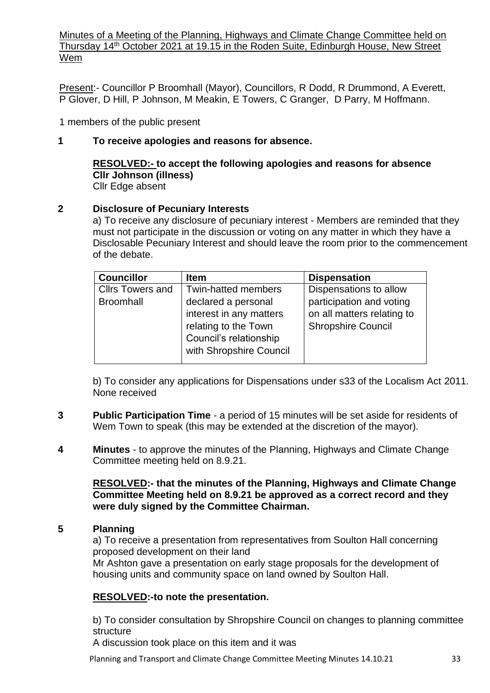Minutes of a Meeting of the Planning, Highways and Climate Change Committee held on Thursday 14th October 2021 at 19.15 in the Roden Suite, Edinburgh House, New Street Wem

Present:- Councillor P Broomhall (Mayor), Councillors, R Dodd, R Drummond, A Everett, P Glover, D Hill, P Johnson, M Meakin, E Towers, C Granger, D Parry, M Hoffmann.

1 members of the public present

## **1 To receive apologies and reasons for absence.**

#### **RESOLVED:- to accept the following apologies and reasons for absence Cllr Johnson (illness)** Cllr Edge absent

## **2 Disclosure of Pecuniary Interests**

a) To receive any disclosure of pecuniary interest - Members are reminded that they must not participate in the discussion or voting on any matter in which they have a Disclosable Pecuniary Interest and should leave the room prior to the commencement of the debate.

| <b>Councillor</b>       | <b>Item</b>                                                                                                                 | <b>Dispensation</b>                                                                 |
|-------------------------|-----------------------------------------------------------------------------------------------------------------------------|-------------------------------------------------------------------------------------|
| <b>Cllrs Towers and</b> | <b>Twin-hatted members</b>                                                                                                  | Dispensations to allow                                                              |
| <b>Broomhall</b>        | declared a personal<br>interest in any matters<br>relating to the Town<br>Council's relationship<br>with Shropshire Council | participation and voting<br>on all matters relating to<br><b>Shropshire Council</b> |

b) To consider any applications for Dispensations under s33 of the Localism Act 2011. None received

- **3 Public Participation Time** a period of 15 minutes will be set aside for residents of Wem Town to speak (this may be extended at the discretion of the mayor).
- **4 Minutes** to approve the minutes of the Planning, Highways and Climate Change Committee meeting held on 8.9.21.

### **RESOLVED:- that the minutes of the Planning, Highways and Climate Change Committee Meeting held on 8.9.21 be approved as a correct record and they were duly signed by the Committee Chairman.**

### **5 Planning**

a) To receive a presentation from representatives from Soulton Hall concerning proposed development on their land

Mr Ashton gave a presentation on early stage proposals for the development of housing units and community space on land owned by Soulton Hall.

# **RESOLVED:-to note the presentation.**

b) To consider consultation by Shropshire Council on changes to planning committee structure

A discussion took place on this item and it was

Planning and Transport and Climate Change Committee Meeting Minutes 14.10.21 33